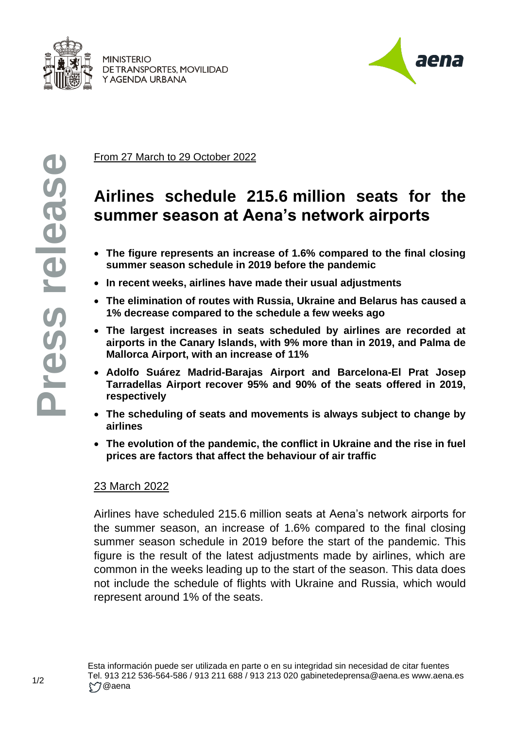

**MINISTERIO** DE TRANSPORTES, MOVILIDAD Y AGENDA URBANA



From 27 March to 29 October 2022

## **Airlines schedule 215.6 million seats for the summer season at Aena's network airports**

- **The figure represents an increase of 1.6% compared to the final closing summer season schedule in 2019 before the pandemic**
- **In recent weeks, airlines have made their usual adjustments**
- **The elimination of routes with Russia, Ukraine and Belarus has caused a 1% decrease compared to the schedule a few weeks ago**
- **The largest increases in seats scheduled by airlines are recorded at airports in the Canary Islands, with 9% more than in 2019, and Palma de Mallorca Airport, with an increase of 11%**
- **Adolfo Suárez Madrid-Barajas Airport and Barcelona-El Prat Josep Tarradellas Airport recover 95% and 90% of the seats offered in 2019, respectively**
- **The scheduling of seats and movements is always subject to change by airlines**
- **The evolution of the pandemic, the conflict in Ukraine and the rise in fuel prices are factors that affect the behaviour of air traffic**

## 23 March 2022

Airlines have scheduled 215.6 million seats at Aena's network airports for the summer season, an increase of 1.6% compared to the final closing summer season schedule in 2019 before the start of the pandemic. This figure is the result of the latest adjustments made by airlines, which are common in the weeks leading up to the start of the season. This data does not include the schedule of flights with Ukraine and Russia, which would represent around 1% of the seats.